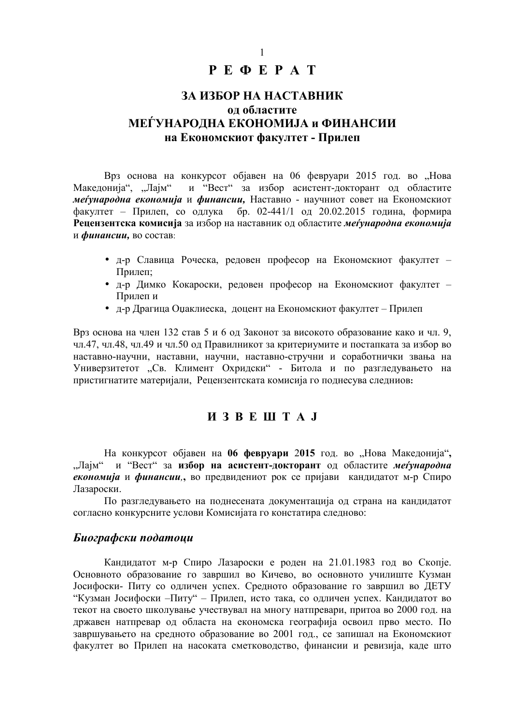## $P E \Phi E P A T$

# ЗА ИЗБОР НА НАСТАВНИК ол областите МЕЃУНАРОДНА ЕКОНОМИЈА и ФИНАНСИИ на Економскиот факултет - Прилеп

Врз основа на конкурсот обіавен на 06 февруари 2015 год. во "Нова Македонија", "Лајм" и "Вест" за избор асистент-докторант од областите меѓународна економија и финансии, Наставно - научниот совет на Економскиот факултет - Прилеп, со одлука бр. 02-441/1 од 20.02.2015 година, формира Рецензентска комисија за избор на наставник од областите меѓународна економија и финансии, во состав:

- д-р Славица Роческа, редовен професор на Економскиот факултет -Прилеп:
- д-р Димко Кокароски, редовен професор на Економскиот факултет -Прилеп и
- д-р Драгица Оџаклиеска, доцент на Економскиот факултет Прилеп

Врз основа на член 132 став 5 и 6 од Законот за високото образование како и чл. 9, чл.47, чл.48, чл.49 и чл.50 од Правилникот за критериумите и постапката за избор во наставно-научни, наставни, научни, наставно-стручни и соработнички звања на Универзитетот "Св. Климент Охридски" - Битола и по разгледувањето на пристигнатите материјали, Рецензентската комисија го поднесува следниов:

### *H* 3 B E III T A J

На конкурсот објавен на 06 февруари 2015 год. во "Нова Македонија", "Лајм" и "Вест" за избор на асистент-докторант од областите меѓународна економија и финансии, во предвидениот рок се пријави кандидатот м-р Спиро Лазароски.

По разгледувањето на поднесената документација од страна на кандидатот согласно конкурсните услови Комисијата го констатира следново:

#### Биографски податоци

Канлилатот м-р Спиро Лазароски е роден на 21.01.1983 год во Скопіе. Основното образование го завршил во Кичево, во основното училиште Кузман Јосифоски- Питу со одличен успех. Средното образование го завршил во ДЕТУ "Кузман Јосифоски -Питу" - Прилеп, исто така, со одличен успех. Кандидатот во текот на своето школување учествувал на многу натпревари, притоа во 2000 год. на државен натпревар од областа на економска географија освоил прво место. По завршувањето на средното образование во 2001 год., се запишал на Економскиот факултет во Прилеп на насоката сметководство, финансии и ревизија, каде што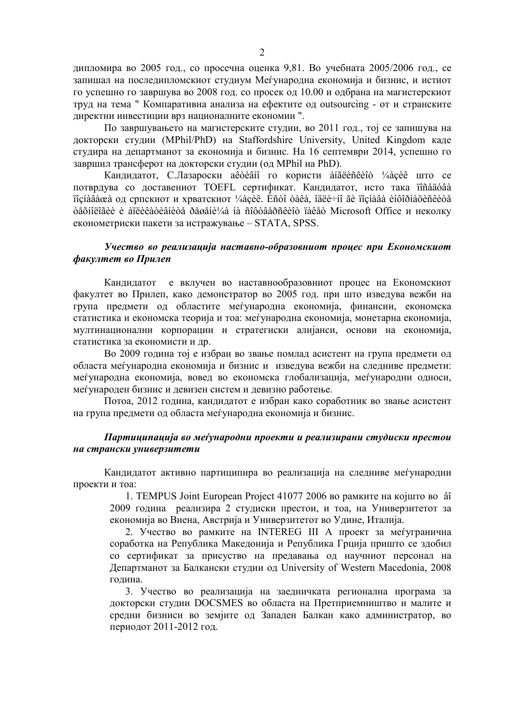дипломира во 2005 год., со просечна оценка 9,81. Во учебната 2005/2006 год., се запишал на последипломскиот студиум Меѓународна економија и бизнис, и истиот го успешно го завршува во 2008 год. со просек од 10.00 и одбрана на магистерскиот труд на тема " Компаративна анализа на ефектите од outsourcing - от и странските директни инвестиции врз националните економии ".

По завршувањето на магистерските студии, во 2011 год., тој се запишува на докторски студии (MPhil/PhD) на Staffordshire University, United Kingdom каде студира на департманот за економија и бизнис. На 16 септември 2014, успешно го завршил трансферот на докторски студии (од MPhil на PhD).

Кандидатот, С.Лазароски ае̂òèâíî го користи àíãëèñêèîò ¼àçèê што се потврдува со доставениот TOEFL сертификат. Кандидатот, исто така ïîñåäóâà ïîçíàâàœà од српскиот и хрватскиот ¼àçèê. Èñòî òàêà, îäëè÷íî ãè ïîçíàâà èíôîðìàöèñêèòå òåõíîëîãèè è àïëèêàòèâíèòå ðåøåíè¼à íà ñîôòâåðñêèîò ïàêåò Microsoft Office и неколку економетриски пакети за истражување – STATA, SPSS.

#### Учество во реализација наставно-образовниот процес при Економскиот факултет во Прилеп

Кандидатот е вклучен во наставнообразовниот процес на Економскиот факултет во Прилеп, како демонстратор во 2005 год. при што изведува вежби на група предмети од областите меѓународна економија, финансии, економска статистика и економска теорија и тоа: меѓународна економија, монетарна економија, мултинационални корпорации и стратегиски алијанси, основи на економија, статистика за економисти и др.

Во 2009 година тој е избран во звање помлад асистент на група предмети од областа меѓународна економија и бизнис и изведува вежби на следниве предмети: меѓународна економија, вовед во економска глобализација, меѓународни односи, меѓународен бизнис и девизен систем и девизно работење.

Потоа, 2012 година, кандидатот е избран како соработник во звање асистент на група предмети од областа меѓународна економија и бизнис.

#### $\pi$ артиципација во меѓународни проекти и реализирани студиски престои на странски универзитети

Кандидатот активно партиципира во реализација на следниве меѓународни проекти и тоа:

1. TEMPUS Joint European Project 41077 2006 во рамките на којшто во а̂î 2009 година реализира 2 студиски престои, и тоа, на Универзитетот за економија во Виена, Австрија и Универзитетот во Удине, Италија.

2. Учество во рамките на INTEREG III А проект за меѓугранична соработка на Република Македонија и Република Грција пришто се здобил со сертификат за присуство на предавања од научниот персонал на Департманот за Балкански студии од University of Western Macedonia, 2008 година.

3. Учество во реализација на заедничката регионална програма за докторски студии DOCSMES во областа на Претприемништво и малите и средни бизниси во земјите од Западен Балкан како администратор, во периодот 2011-2012 год.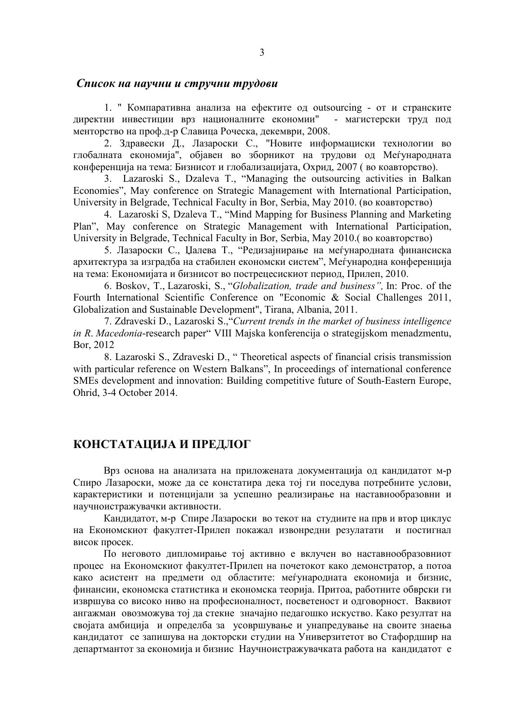#### Cписок на научни и стручни трудови

1. " Компаративна анализа на ефектите од outsourcing - от и странските директни инвестиции врз националните ек ономии" - магистерски труд под менторство на проф.д-р Славица Роческа, декември, 2008.

2. Здравески Д., Лазароски С., "Новите информациски технологии во глобалната економија", објавен во зборникот на трудови од Меѓународната конференција на тема: Бизнисот и глобализацијата, Охрид, 2007 (во коавторство).

3. Lazaroski S., Dzaleva T., "Managing the outsourcing activities in Balkan Economies", May conference on Strategic Management with International Participation, University in Belgrade, Technical Faculty in Bor, Serbia, May 2010. (во коавторство)

4. Lazaroski S, Dzaleva T., "Mind Mapping for Business Planning and Marketing Plan", May conference on Strategic Management with International Participation, University in Belgrade, Technical Faculty in Bor, Serbia, May 2010. (во коавторство)

5. Лазароски С., Џалева Т., "Редизајнирање на меѓународната финансиска архитектура за изградба на стабилен економски систем", Меѓународна конференција на тема: Економијата и бизнисот во пострецесискиот период, Прилеп, 2010.

6. Boskov, T., Lazaroski, S., "*Globalization, trade and business",* In: Proc. of the Fourth International Scientific Conference on "Economic & Social Challenges 2011, Globalization and Sustainable Development", Tirana, Albania, 2011.

7. Zdraveski D., Lazaroski S.,"*Current trends in the market of business intelligence in R*. *Macedonia*-research paper" VIII Majska konferencija o strategijskom menadzmentu, Bor, 2012

8. Lazaroski S., Zdraveski D., " Theoretical aspects of financial crisis transmission with particular reference on Western Balkans", In proceedings of international conference SMEs development and innovation: Building competitive future of South-Eastern Europe, Ohrid, 3-4 October 2014.

## **КОНСТАТАЦИЈА И ПРЕДЛОГ**

Врз основа на анализата на приложената документација од кандидатот м-р Спиро Лазароски, може да се констатира дека тој ги поседува потребните услови, карактеристики и потенцијали за успешно реализирање на наставнообразовни и научноистражувачки активности.

Кандидатот, м-р Спире Лазароски во текот на студиите на прв и втор циклус на Економскиот факултет-Прилеп покажал извонредни резулатати и постигнал висок просек.

По неговото дипломирање тој активно е вклучен во наставнообразовниот процес на Економскиот факултет-Прилеп на почетокот како демонстратор, а потоа како асистент на предмети од областите: меѓународната економија и бизнис, финансии, економска статистика и економска теорија. Притоа, работните обврски ги извршува со високо ниво на професионалност, посветеност и одговорност. Ваквиот ангажман овозможува тој да стекне значајно педагошко искуство. Како резултат на својата амбиција и определба за усовршување и унапредување на своите знаења кандидатот се запишува на докторски студии на Универзитетот во Стафордшир на департмантот за економија и бизнис Научноистражувачката работа на кандидатот е